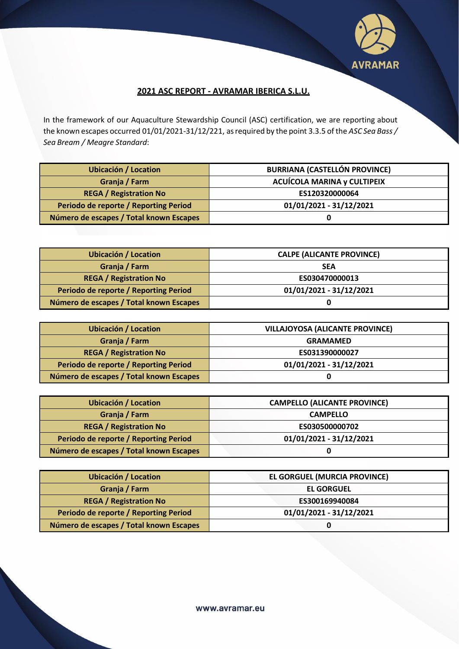

## **2021 ASC REPORT - AVRAMAR IBERICA S.L.U.**

In the framework of our Aquaculture Stewardship Council (ASC) certification, we are reporting about the known escapes occurred 01/01/2021-31/12/221, asrequired by the point 3.3.5 of the *ASC Sea Bass / Sea Bream / Meagre Standard*:

| <b>Ubicación / Location</b>             | <b>BURRIANA (CASTELLÓN PROVINCE)</b> |
|-----------------------------------------|--------------------------------------|
| Granja / Farm                           | <b>ACUÍCOLA MARINA y CULTIPEIX</b>   |
| <b>REGA / Registration No</b>           | ES120320000064                       |
| Periodo de reporte / Reporting Period   | 01/01/2021 - 31/12/2021              |
| Número de escapes / Total known Escapes |                                      |

| <b>Ubicación / Location</b>             | <b>CALPE (ALICANTE PROVINCE)</b> |  |
|-----------------------------------------|----------------------------------|--|
| Granja / Farm                           | <b>SEA</b>                       |  |
| <b>REGA / Registration No</b>           | ES030470000013                   |  |
| Periodo de reporte / Reporting Period   | 01/01/2021 - 31/12/2021          |  |
| Número de escapes / Total known Escapes |                                  |  |

| <b>Ubicación / Location</b>             | <b>VILLAJOYOSA (ALICANTE PROVINCE)</b> |  |
|-----------------------------------------|----------------------------------------|--|
| Granja / Farm                           | <b>GRAMAMED</b>                        |  |
| <b>REGA / Registration No</b>           | ES031390000027                         |  |
| Periodo de reporte / Reporting Period   | 01/01/2021 - 31/12/2021                |  |
| Número de escapes / Total known Escapes |                                        |  |

| <b>Ubicación / Location</b>             | <b>CAMPELLO (ALICANTE PROVINCE)</b> |
|-----------------------------------------|-------------------------------------|
| Granja / Farm                           | <b>CAMPELLO</b>                     |
| <b>REGA / Registration No</b>           | ES030500000702                      |
| Periodo de reporte / Reporting Period   | 01/01/2021 - 31/12/2021             |
| Número de escapes / Total known Escapes |                                     |

| <b>Ubicación / Location</b>             | <b>EL GORGUEL (MURCIA PROVINCE)</b> |  |
|-----------------------------------------|-------------------------------------|--|
| Granja / Farm                           | <b>EL GORGUEL</b>                   |  |
| <b>REGA / Registration No</b>           | ES300169940084                      |  |
| Periodo de reporte / Reporting Period   | 01/01/2021 - 31/12/2021             |  |
| Número de escapes / Total known Escapes |                                     |  |

www.avramar.eu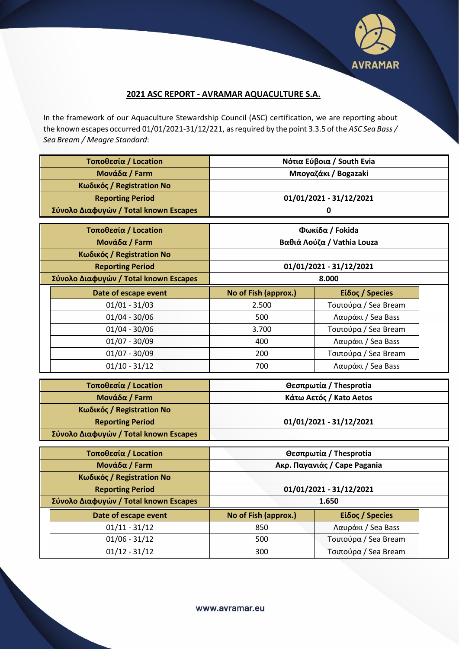

## **2021 ASC REPORT - AVRAMAR AQUACULTURE S.A.**

In the framework of our Aquaculture Stewardship Council (ASC) certification, we are reporting about the known escapes occurred 01/01/2021-31/12/221, asrequired by the point 3.3.5 of the *ASC Sea Bass / Sea Bream / Meagre Standard*:

| <b>Τοποθεσία / Location</b>                           | Νότια Εύβοια / South Evia    |                            |  |
|-------------------------------------------------------|------------------------------|----------------------------|--|
| Μονάδα / Farm                                         | Μπογαζάκι / Bogazaki         |                            |  |
| Κωδικός / Registration No                             |                              |                            |  |
| <b>Reporting Period</b>                               |                              | 01/01/2021 - 31/12/2021    |  |
| Σύνολο Διαφυγών / Total known Escapes                 |                              | 0                          |  |
| <b>Τοποθεσία / Location</b>                           |                              | Φωκίδα / Fokida            |  |
| Μονάδα / Farm                                         |                              | Βαθιά Λούζα / Vathia Louza |  |
| Κωδικός / Registration No                             |                              |                            |  |
| <b>Reporting Period</b>                               |                              | 01/01/2021 - 31/12/2021    |  |
| Σύνολο Διαφυγών / Total known Escapes                 | 8.000                        |                            |  |
| Date of escape event                                  | No of Fish (approx.)         | Είδος / Species            |  |
| $01/01 - 31/03$                                       | 2.500                        | Τσιπούρα / Sea Bream       |  |
| $01/04 - 30/06$                                       | 500                          | Λαυράκι / Sea Bass         |  |
| $01/04 - 30/06$                                       | 3.700                        | Τσιπούρα / Sea Bream       |  |
| $01/07 - 30/09$                                       | 400                          | Λαυράκι / Sea Bass         |  |
| $01/07 - 30/09$                                       | 200                          | Τσιπούρα / Sea Bream       |  |
| $01/10 - 31/12$                                       | 700                          | Λαυράκι / Sea Bass         |  |
| <b>Τοποθεσία / Location</b><br>Θεσπρωτία / Thesprotia |                              |                            |  |
| Μονάδα / Farm                                         | Κάτω Αετός / Kato Aetos      |                            |  |
| Κωδικός / Registration No                             |                              |                            |  |
| <b>Reporting Period</b>                               |                              | 01/01/2021 - 31/12/2021    |  |
| Σύνολο Διαφυγών / Total known Escapes                 |                              |                            |  |
|                                                       |                              |                            |  |
| <b>Τοποθεσία / Location</b>                           | Θεσπρωτία / Thesprotia       |                            |  |
| Μονάδα / Farm<br>Κωδικός / Registration No            | Ακρ. Παγανιάς / Cape Pagania |                            |  |
| <b>Reporting Period</b>                               | 01/01/2021 - 31/12/2021      |                            |  |
| Σύνολο Διαφυγών / Total known Escapes                 | 1.650                        |                            |  |
| Date of escape event                                  | No of Fish (approx.)         | Eίδος / Species            |  |
| $01/11 - 31/12$                                       | 850                          | Λαυράκι / Sea Bass         |  |
| $01/06 - 31/12$                                       | 500                          | Τσιπούρα / Sea Bream       |  |
| $01/12 - 31/12$                                       | 300                          | Τσιπούρα / Sea Bream       |  |
|                                                       |                              |                            |  |